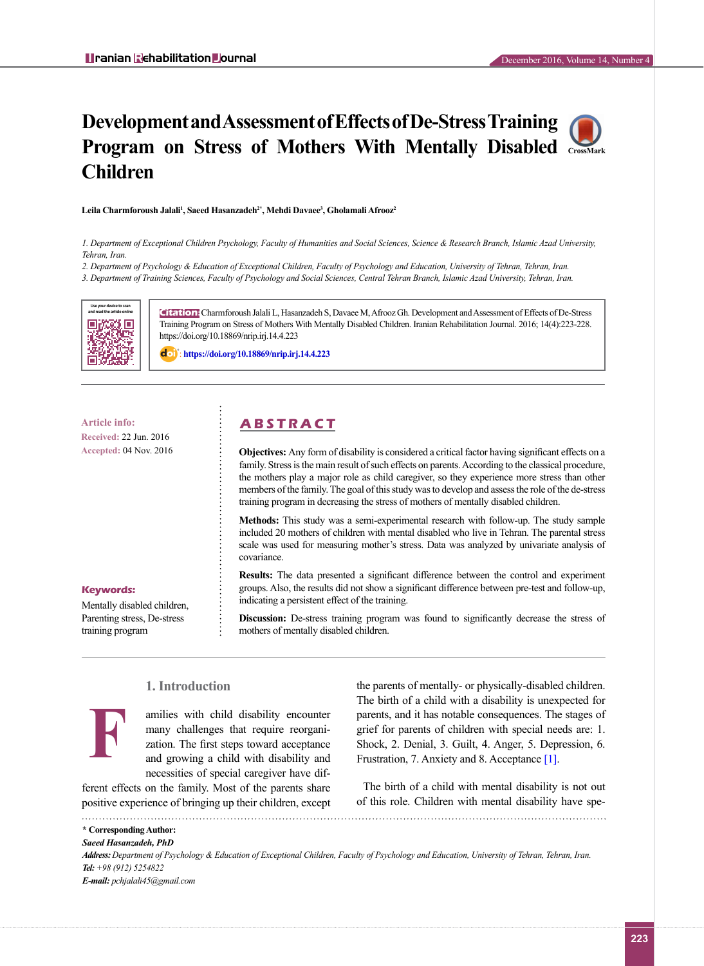# **Development and Assessment of Effects of De-Stress Training**  Program on Stress of Mothers With Mentally Disabled [CrossMark](https://crossmark.crossref.org/dialog/?doi=10.18869/nrip.irj.14.4.223) **Children**

#### Leila Charmforoush Jalali<sup>1</sup>, Saeed Hasanzadeh<sup>2\*</sup>, Mehdi Davaee<sup>3</sup>, Gholamali Afrooz<sup>2</sup>

- *1. Department of Exceptional Children Psychology, Faculty of Humanities and Social Sciences, Science & Research Branch, Islamic Azad University, Tehran, Iran.*
- *2. Department of Psychology & Education of Exceptional Children, Faculty of Psychology and Education, University of Tehran, Tehran, Iran.*

*3. Department of Training Sciences, Faculty of Psychology and Social Sciences, Central Tehran Branch, Islamic Azad University, Tehran, Iran.*



**Citation:**Charmforoush Jalali L, Hasanzadeh S, Davaee M, Afrooz Gh. Development and Assessment of Effects of De-Stress Training Program on Stress of Mothers With Mentally Disabled Children. Iranian Rehabilitation Journal. 2016; 14(4):223-228. https://doi.org/10.18869/nrip.irj.14.4.223

: **<https://doi.org/10.18869/nrip.irj.14.4.223>**

**Received:** 22 Jun. 2016 **Accepted:** 04 Nov. 2016

**Keywords:**

**F**

Mentally disabled children, Parenting stress, De-stress training program

## **Article info: A B S T R A C T**

**Objectives:** Any form of disability is considered a critical factor having significant effects on a family. Stress is the main result of such effects on parents. According to the classical procedure, the mothers play a major role as child caregiver, so they experience more stress than other members of the family. The goal of this study was to develop and assess the role of the de-stress training program in decreasing the stress of mothers of mentally disabled children.

**Methods:** This study was a semi-experimental research with follow-up. The study sample included 20 mothers of children with mental disabled who live in Tehran. The parental stress scale was used for measuring mother's stress. Data was analyzed by univariate analysis of covariance.

**Results:** The data presented a significant difference between the control and experiment groups. Also, the results did not show a significant difference between pre-test and follow-up, indicating a persistent effect of the training.

**Discussion:** De-stress training program was found to significantly decrease the stress of mothers of mentally disabled children.

**1. Introduction**

amilies with child disability encounter many challenges that require reorganization. The first steps toward acceptance and growing a child with disability and necessities of special caregiver have dif-

ferent effects on the family. Most of the parents share positive experience of bringing up their children, except

the parents of mentally- or physically-disabled children. The birth of a child with a disability is unexpected for parents, and it has notable consequences. The stages of grief for parents of children with special needs are: 1. Shock, 2. Denial, 3. Guilt, 4. Anger, 5. Depression, 6. Frustration, 7. Anxiety and 8. Acceptance [\[1\]](#page-4-0).

The birth of a child with mental disability is not out of this role. Children with mental disability have spe-

**\* Corresponding Author:** *Saeed Hasanzadeh, PhD*

*Address: Department of Psychology & Education of Exceptional Children, Faculty of Psychology and Education, University of Tehran, Tehran, Iran. Tel: +98 (912) 5254822 E-mail: pchjalali45@gmail.com*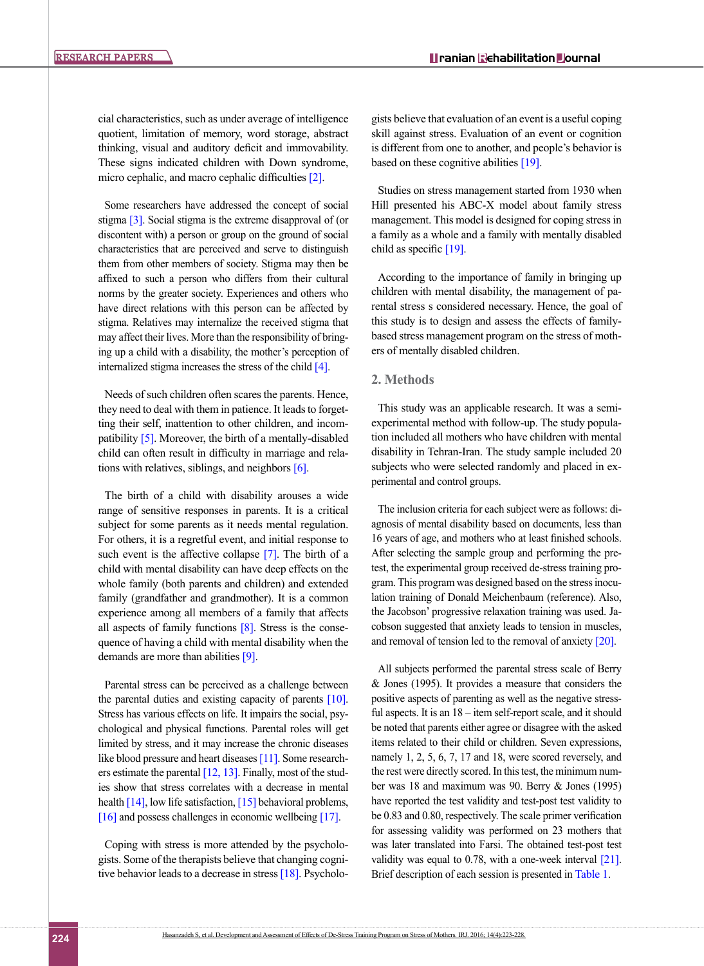cial characteristics, such as under average of intelligence quotient, limitation of memory, word storage, abstract thinking, visual and auditory deficit and immovability. These signs indicated children with Down syndrome, micro cephalic, and macro cephalic difficulties [\[2\].](#page-4-1)

Some researchers have addressed the concept of social stigma [\[3\]](#page-4-2). Social stigma is the extreme disapproval of (or discontent with) a person or group on the ground of social characteristics that are perceived and serve to distinguish them from other members of society. Stigma may then be affixed to such a person who differs from their cultural norms by the greater society. Experiences and others who have direct relations with this person can be affected by stigma. Relatives may internalize the received stigma that may affect their lives. More than the responsibility of bringing up a child with a disability, the mother's perception of internalized stigma increases the stress of the child  $[4]$ .

Needs of such children often scares the parents. Hence, they need to deal with them in patience. It leads to forgetting their self, inattention to other children, and incom-patibility [\[5\]](#page-4-3). Moreover, the birth of a mentally-disabled child can often result in difficulty in marriage and relations with relatives, siblings, and neighbors [\[6\]](#page-4-4).

The birth of a child with disability arouses a wide range of sensitive responses in parents. It is a critical subject for some parents as it needs mental regulation. For others, it is a regretful event, and initial response to such event is the affective collapse [\[7\].](#page-4-5) The birth of a child with mental disability can have deep effects on the whole family (both parents and children) and extended family (grandfather and grandmother). It is a common experience among all members of a family that affects all aspects of family functions  $[8]$ . Stress is the consequence of having a child with mental disability when the demands are more than abilities [\[9\]](#page-4-7).

Parental stress can be perceived as a challenge between the parental duties and existing capacity of parents  $[10]$ . Stress has various effects on life. It impairs the social, psychological and physical functions. Parental roles will get limited by stress, and it may increase the chronic diseases like blood pressure and heart diseases [\[11\]](#page-4-9). Some research-ers estimate the parental [\[12,](#page-4-10) [13\].](#page-4-11) Finally, most of the studies show that stress correlates with a decrease in mental health [\[14\],](#page-4-12) low life satisfaction, [\[15\]](#page-4-13) behavioral problems, [\[16\]](#page-4-14) and possess challenges in economic wellbeing [\[17\]](#page-4-15).

Coping with stress is more attended by the psychologists. Some of the therapists believe that changing cogni-tive behavior leads to a decrease in stress [\[18\].](#page-4-16) Psychologists believe that evaluation of an event is a useful coping skill against stress. Evaluation of an event or cognition is different from one to another, and people's behavior is based on these cognitive abilities [\[19\]](#page-4-17).

Studies on stress management started from 1930 when Hill presented his ABC-X model about family stress management. This model is designed for coping stress in a family as a whole and a family with mentally disabled child as specific [\[19\].](#page-4-17)

According to the importance of family in bringing up children with mental disability, the management of parental stress s considered necessary. Hence, the goal of this study is to design and assess the effects of familybased stress management program on the stress of mothers of mentally disabled children.

#### **2. Methods**

This study was an applicable research. It was a semiexperimental method with follow-up. The study population included all mothers who have children with mental disability in Tehran-Iran. The study sample included 20 subjects who were selected randomly and placed in experimental and control groups.

The inclusion criteria for each subject were as follows: diagnosis of mental disability based on documents, less than 16 years of age, and mothers who at least finished schools. After selecting the sample group and performing the pretest, the experimental group received de-stress training program. This program was designed based on the stress inoculation training of Donald Meichenbaum (reference). Also, the Jacobson' progressive relaxation training was used. Jacobson suggested that anxiety leads to tension in muscles, and removal of tension led to the removal of anxiety [\[20\].](#page-4-18)

All subjects performed the parental stress scale of Berry & Jones (1995). It provides a measure that considers the positive aspects of parenting as well as the negative stressful aspects. It is an 18 – item self-report scale, and it should be noted that parents either agree or disagree with the asked items related to their child or children. Seven expressions, namely 1, 2, 5, 6, 7, 17 and 18, were scored reversely, and the rest were directly scored. In this test, the minimum number was 18 and maximum was 90. Berry & Jones (1995) have reported the test validity and test-post test validity to be 0.83 and 0.80, respectively. The scale primer verification for assessing validity was performed on 23 mothers that was later translated into Farsi. The obtained test-post test validity was equal to 0.78, with a one-week interval [\[21\]](#page-4-19). Brief description of each session is presented in [Table 1.](#page-2-0)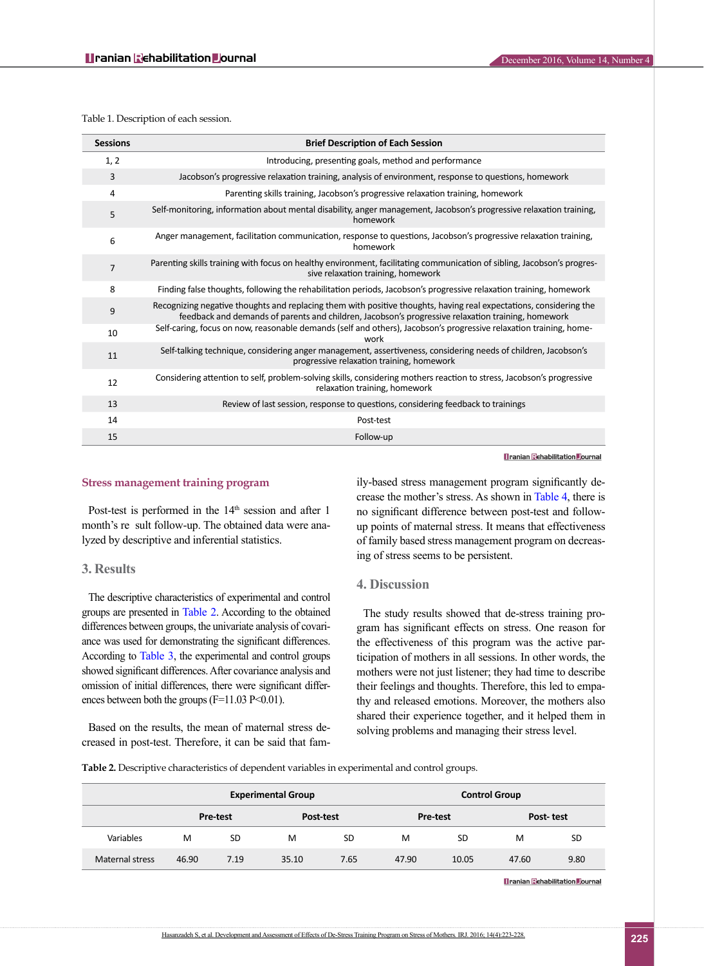<span id="page-2-0"></span>Table 1. Description of each session.

| <b>Sessions</b> | <b>Brief Description of Each Session</b>                                                                                                                                                                                 |
|-----------------|--------------------------------------------------------------------------------------------------------------------------------------------------------------------------------------------------------------------------|
| 1, 2            | Introducing, presenting goals, method and performance                                                                                                                                                                    |
| 3               | Jacobson's progressive relaxation training, analysis of environment, response to questions, homework                                                                                                                     |
| 4               | Parenting skills training, Jacobson's progressive relaxation training, homework                                                                                                                                          |
| 5               | Self-monitoring, information about mental disability, anger management, Jacobson's progressive relaxation training,<br>homework                                                                                          |
| 6               | Anger management, facilitation communication, response to questions, Jacobson's progressive relaxation training,<br>homework                                                                                             |
| $\overline{7}$  | Parenting skills training with focus on healthy environment, facilitating communication of sibling, Jacobson's progres-<br>sive relaxation training, homework                                                            |
| 8               | Finding false thoughts, following the rehabilitation periods, Jacobson's progressive relaxation training, homework                                                                                                       |
| 9               | Recognizing negative thoughts and replacing them with positive thoughts, having real expectations, considering the<br>feedback and demands of parents and children, Jacobson's progressive relaxation training, homework |
| 10              | Self-caring, focus on now, reasonable demands (self and others), Jacobson's progressive relaxation training, home-<br>work                                                                                               |
| 11              | Self-talking technique, considering anger management, assertiveness, considering needs of children, Jacobson's<br>progressive relaxation training, homework                                                              |
| 12              | Considering attention to self, problem-solving skills, considering mothers reaction to stress, Jacobson's progressive<br>relaxation training, homework                                                                   |
| 13              | Review of last session, response to questions, considering feedback to trainings                                                                                                                                         |
| 14              | Post-test                                                                                                                                                                                                                |
| 15              | Follow-up                                                                                                                                                                                                                |

**Tranian Rehabilitation Journal** 

#### **Stress management training program**

Post-test is performed in the 14<sup>th</sup> session and after 1 month's re sult follow-up. The obtained data were analyzed by descriptive and inferential statistics.

#### **3. Results**

The descriptive characteristics of experimental and control groups are presented in [Table 2](#page-2-1). According to the obtained differences between groups, the univariate analysis of covariance was used for demonstrating the significant differences. According to [Table 3](#page-3-0), the experimental and control groups showed significant differences. After covariance analysis and omission of initial differences, there were significant differences between both the groups  $(F=11.03 \text{ P} < 0.01)$ .

Based on the results, the mean of maternal stress decreased in post-test. Therefore, it can be said that family-based stress management program significantly decrease the mother's stress. As shown in [Table 4](#page-3-1), there is no significant difference between post-test and followup points of maternal stress. It means that effectiveness of family based stress management program on decreasing of stress seems to be persistent.

#### **4. Discussion**

The study results showed that de-stress training program has significant effects on stress. One reason for the effectiveness of this program was the active participation of mothers in all sessions. In other words, the mothers were not just listener; they had time to describe their feelings and thoughts. Therefore, this led to empathy and released emotions. Moreover, the mothers also shared their experience together, and it helped them in solving problems and managing their stress level.

<span id="page-2-1"></span>**Table 2.** Descriptive characteristics of dependent variables in experimental and control groups.

|                 | <b>Experimental Group</b> |           |           |           | <b>Control Group</b> |           |           |           |
|-----------------|---------------------------|-----------|-----------|-----------|----------------------|-----------|-----------|-----------|
|                 | <b>Pre-test</b>           |           | Post-test |           | <b>Pre-test</b>      |           | Post-test |           |
| Variables       | м                         | <b>SD</b> | M         | <b>SD</b> | м                    | <b>SD</b> | м         | <b>SD</b> |
| Maternal stress | 46.90                     | 7.19      | 35.10     | 7.65      | 47.90                | 10.05     | 47.60     | 9.80      |

**Uranian Rehabilitation Dournal**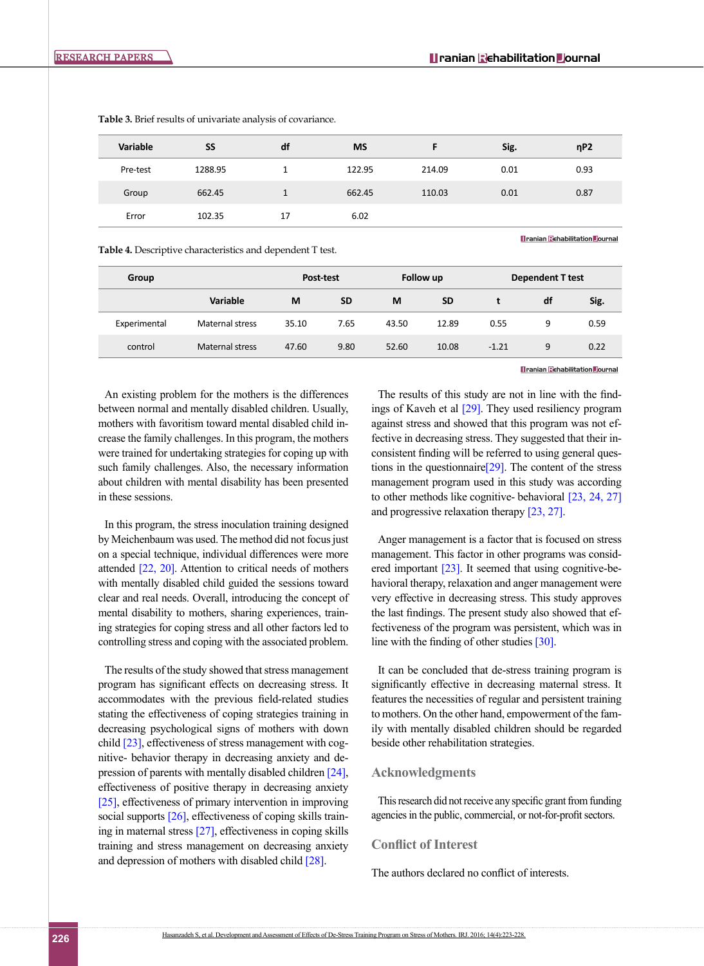| <b>Variable</b> | SS      | df | <b>MS</b> |        | Sig. | ηP <sub>2</sub> |
|-----------------|---------|----|-----------|--------|------|-----------------|
| Pre-test        | 1288.95 |    | 122.95    | 214.09 | 0.01 | 0.93            |
| Group           | 662.45  |    | 662.45    | 110.03 | 0.01 | 0.87            |
| Error           | 102.35  | 17 | 6.02      |        |      |                 |

<span id="page-3-0"></span>**Table 3.** Brief results of univariate analysis of covariance.

<span id="page-3-1"></span>**Table 4.** Descriptive characteristics and dependent T test.

| Group        |                 |       | Post-test |       | Follow up |         | <b>Dependent T test</b> |      |  |
|--------------|-----------------|-------|-----------|-------|-----------|---------|-------------------------|------|--|
|              | <b>Variable</b> | M     | <b>SD</b> | M     | <b>SD</b> |         | df                      | Sig. |  |
| Experimental | Maternal stress | 35.10 | 7.65      | 43.50 | 12.89     | 0.55    | 9                       | 0.59 |  |
| control      | Maternal stress | 47.60 | 9.80      | 52.60 | 10.08     | $-1.21$ | 9                       | 0.22 |  |

An existing problem for the mothers is the differences between normal and mentally disabled children. Usually, mothers with favoritism toward mental disabled child increase the family challenges. In this program, the mothers were trained for undertaking strategies for coping up with such family challenges. Also, the necessary information about children with mental disability has been presented in these sessions.

In this program, the stress inoculation training designed by Meichenbaum was used. The method did not focus just on a special technique, individual differences were more attended [22, [20\]](#page-4-18). Attention to critical needs of mothers with mentally disabled child guided the sessions toward clear and real needs. Overall, introducing the concept of mental disability to mothers, sharing experiences, training strategies for coping stress and all other factors led to controlling stress and coping with the associated problem.

The results of the study showed that stress management program has significant effects on decreasing stress. It accommodates with the previous field-related studies stating the effectiveness of coping strategies training in decreasing psychological signs of mothers with down child [23], effectiveness of stress management with cognitive- behavior therapy in decreasing anxiety and depression of parents with mentally disabled children [24], effectiveness of positive therapy in decreasing anxiety [\[25\]](#page-4-20), effectiveness of primary intervention in improving social supports [\[26\]](#page-4-21), effectiveness of coping skills training in maternal stress [\[27\],](#page-4-22) effectiveness in coping skills training and stress management on decreasing anxiety and depression of mothers with disabled child [\[28\].](#page-4-23)

**Dranian Rehabilitation Dournal** 

**<u>Branian Rehabilitation Dournal</u>** 

The results of this study are not in line with the findings of Kaveh et al [\[29\]](#page-4-24). They used resiliency program against stress and showed that this program was not effective in decreasing stress. They suggested that their inconsistent finding will be referred to using general questions in the questionnaire $[29]$ . The content of the stress management program used in this study was according to other methods like cognitive- behavioral [23, 24, [27\]](#page-4-22) and progressive relaxation therapy [23, [27\]](#page-4-22).

Anger management is a factor that is focused on stress management. This factor in other programs was considered important [23]. It seemed that using cognitive-behavioral therapy, relaxation and anger management were very effective in decreasing stress. This study approves the last findings. The present study also showed that effectiveness of the program was persistent, which was in line with the finding of other studies [\[30\].](#page-4-25)

It can be concluded that de-stress training program is significantly effective in decreasing maternal stress. It features the necessities of regular and persistent training to mothers. On the other hand, empowerment of the family with mentally disabled children should be regarded beside other rehabilitation strategies.

### **Acknowledgments**

This research did not receive any specific grant from funding agencies in the public, commercial, or not-for-profit sectors.

#### **Conflict of Interest**

The authors declared no conflict of interests.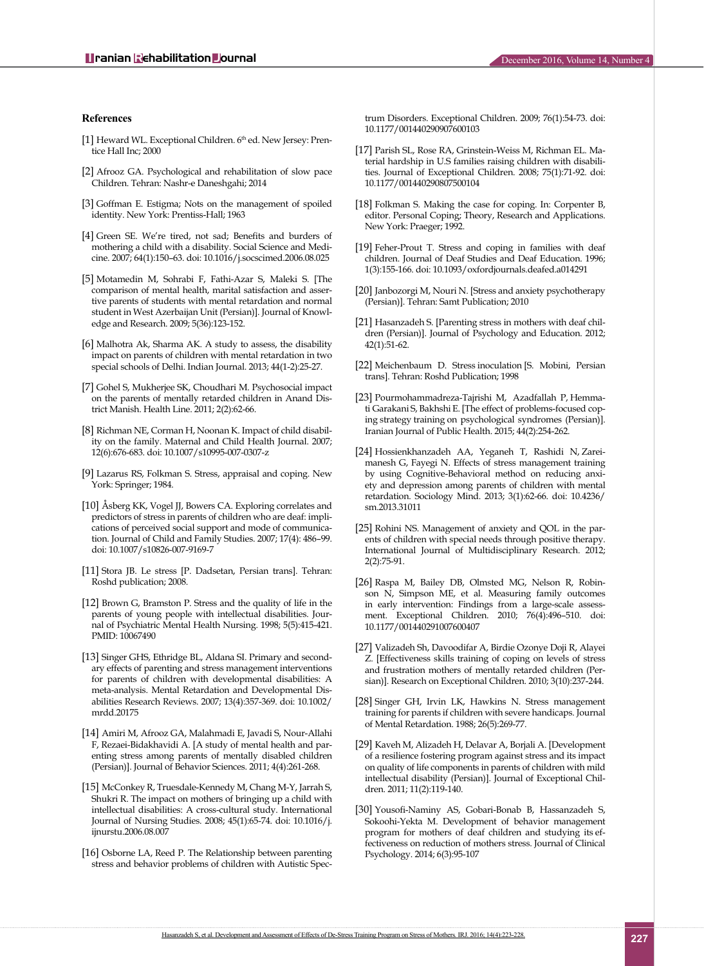#### **References**

- <span id="page-4-0"></span>[1] Heward WL. Exceptional Children. 6<sup>th</sup> ed. New Jersey: Prentice Hall Inc; 2000
- <span id="page-4-1"></span>[2] Afrooz GA. Psychological and rehabilitation of slow pace Children. Tehran: Nashr-e Daneshgahi; 2014
- <span id="page-4-2"></span>[3] Goffman E. Estigma; Nots on the management of spoiled identity. New York: Prentiss-Hall; 1963
- [4] Green SE. We're tired, not sad; Benefits and burders of mothering a child with a disability. Social Science and Medicine. 2007; 64(1):150–63. doi: 10.1016/j.socscimed.2006.08.025
- <span id="page-4-3"></span>[5] Motamedin M, Sohrabi F, Fathi-Azar S, Maleki S. [The comparison of mental health, marital satisfaction and assertive parents of students with mental retardation and normal student in West Azerbaijan Unit (Persian)]. Journal of Knowledge and Research. 2009; 5(36):123-152.
- <span id="page-4-4"></span>[6] Malhotra Ak, Sharma AK. A study to assess, the disability impact on parents of children with mental retardation in two special schools of Delhi. Indian Journal. 2013; 44(1-2):25-27.
- <span id="page-4-5"></span>[7] Gohel S, Mukherjee SK, Choudhari M. Psychosocial impact on the parents of mentally retarded children in Anand District Manish. Health Line. 2011; 2(2):62-66.
- <span id="page-4-6"></span>[8] Richman NE, Corman H, Noonan K. Impact of child disability on the family. Maternal and Child Health Journal. 2007; 12(6):676-683. doi: 10.1007/s10995-007-0307-z
- <span id="page-4-7"></span>[9] Lazarus RS, Folkman S. Stress, appraisal and coping. New York: Springer; 1984.
- <span id="page-4-8"></span>[10] Åsberg KK, Vogel JJ, Bowers CA. Exploring correlates and predictors of stress in parents of children who are deaf: implications of perceived social support and mode of communication. Journal of Child and Family Studies. 2007; 17(4): 486–99. doi: 10.1007/s10826-007-9169-7
- <span id="page-4-9"></span>[11] Stora JB. Le stress [P. Dadsetan, Persian trans]. Tehran: Roshd publication; 2008.
- <span id="page-4-10"></span>[12] Brown G, Bramston P. Stress and the quality of life in the parents of young people with intellectual disabilities. Journal of Psychiatric Mental Health Nursing. 1998; 5(5):415-421. PMID: 10067490
- <span id="page-4-11"></span>[13] Singer GHS, Ethridge BL, Aldana SI. Primary and secondary effects of parenting and stress management interventions for parents of children with developmental disabilities: A meta-analysis. Mental Retardation and Developmental Disabilities Research Reviews. 2007; 13(4):357-369. doi: 10.1002/ mrdd.20175
- <span id="page-4-12"></span>[14] Amiri M, Afrooz GA, Malahmadi E, Javadi S, Nour-Allahi F, Rezaei-Bidakhavidi A. [A study of mental health and parenting stress among parents of mentally disabled children (Persian)]. Journal of Behavior Sciences. 2011; 4(4):261-268.
- <span id="page-4-13"></span>[15] McConkey R, Truesdale-Kennedy M, Chang M-Y, Jarrah S, Shukri R. The impact on mothers of bringing up a child with intellectual disabilities: A cross-cultural study. International Journal of Nursing Studies. 2008; 45(1):65-74. doi: 10.1016/j. ijnurstu.2006.08.007
- <span id="page-4-14"></span>[16] Osborne LA, Reed P. The Relationship between parenting stress and behavior problems of children with Autistic Spec-

trum Disorders. Exceptional Children. 2009; 76(1):54-73. doi: 10.1177/001440290907600103

- <span id="page-4-15"></span>[17] Parish SL, Rose RA, Grinstein-Weiss M, Richman EL. Material hardship in U.S families raising children with disabilities. Journal of Exceptional Children. 2008; 75(1):71-92. doi: 10.1177/001440290807500104
- <span id="page-4-16"></span>[18] Folkman S. Making the case for coping. In: Corpenter B, editor. Personal Coping; Theory, Research and Applications. New York: Praeger; 1992.
- <span id="page-4-17"></span>[19] Feher-Prout T. Stress and coping in families with deaf children. Journal of Deaf Studies and Deaf Education. 1996; 1(3):155-166. doi: 10.1093/oxfordjournals.deafed.a014291
- <span id="page-4-18"></span>[20] Janbozorgi M, Nouri N. [Stress and anxiety psychotherapy (Persian)]. Tehran: Samt Publication; 2010
- <span id="page-4-19"></span>[21] Hasanzadeh S. [Parenting stress in mothers with deaf children (Persian)]. Journal of Psychology and Education. 2012; 42(1):51-62.
- [22] Meichenbaum D. Stress inoculation [S. Mobini, Persian trans]. Tehran: Roshd Publication; 1998
- [23] Pourmohammadreza-Tajrishi M, Azadfallah P, Hemmati Garakani S, Bakhshi E. [The effect of problems-focused coping strategy training on psychological syndromes (Persian)]. Iranian Journal of Public Health. 2015; 44(2):254-262.
- [24] Hossienkhanzadeh AA, Yeganeh T, Rashidi N, Zareimanesh G, Fayegi N. Effects of stress management training by using Cognitive-Behavioral method on reducing anxiety and depression among parents of children with mental retardation. Sociology Mind. 2013; 3(1):62-66. doi: 10.4236/ sm.2013.31011
- <span id="page-4-20"></span>[25] Rohini NS. Management of anxiety and QOL in the parents of children with special needs through positive therapy. International Journal of Multidisciplinary Research. 2012; 2(2):75-91.
- <span id="page-4-21"></span>[26] Raspa M, Bailey DB, Olmsted MG, Nelson R, Robinson N, Simpson ME, et al. Measuring family outcomes in early intervention: Findings from a large-scale assessment. Exceptional Children. 2010; 76(4):496–510. doi: 10.1177/001440291007600407
- <span id="page-4-22"></span>[27] Valizadeh Sh, Davoodifar A, Birdie Ozonye Doji R, Alayei Z. [Effectiveness skills training of coping on levels of stress and frustration mothers of mentally retarded children (Persian)]. Research on Exceptional Children. 2010; 3(10):237-244.
- <span id="page-4-23"></span>[28] Singer GH, Irvin LK, Hawkins N. Stress management training for parents if children with severe handicaps. Journal of Mental Retardation. 1988; 26(5):269-77.
- <span id="page-4-24"></span>[29] Kaveh M, Alizadeh H, Delavar A, Borjali A. [Development of a resilience fostering program against stress and its impact on quality of life components in parents of children with mild intellectual disability (Persian)]. Journal of Exceptional Children. 2011; 11(2):119-140.
- <span id="page-4-25"></span>[30] Yousofi-Naminy AS, Gobari-Bonab B, Hassanzadeh S, Sokoohi-Yekta M. Development of behavior management program for mothers of deaf children and studying its effectiveness on reduction of mothers stress. Journal of Clinical Psychology. 2014; 6(3):95-107